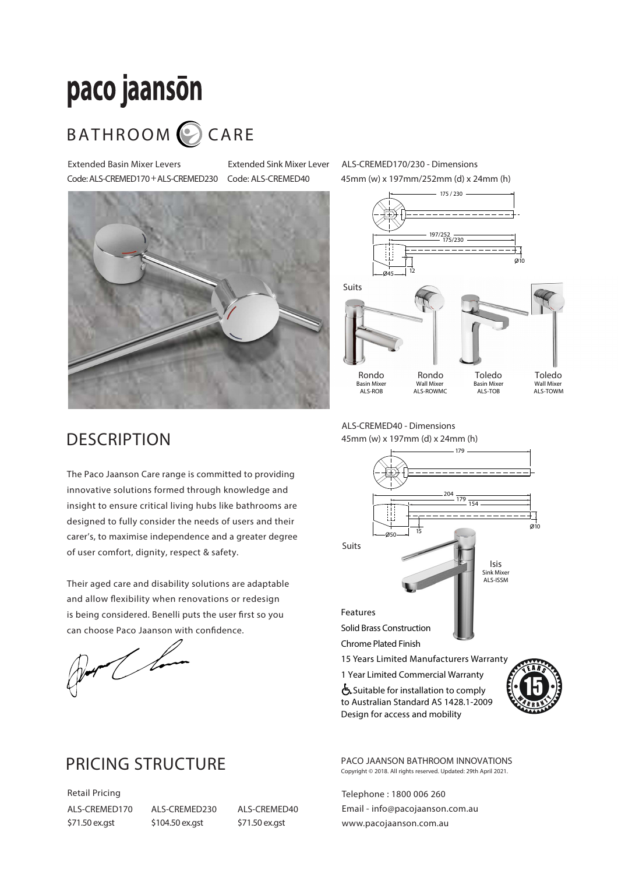# paco jaanson

## BATHROOM CARE

Extended Basin Mixer Levers Code: ALS-CREMED170+ALS-CREMED230

Extended Sink Mixer Lever Code: ALS-CREMED40



ALS-CREMED170/230 - Dimensions 45mm (w) x 197mm/252mm (d) x 24mm (h)



#### **DESCRIPTION**

The Paco Jaanson Care range is committed to providing innovative solutions formed through knowledge and insight to ensure critical living hubs like bathrooms are designed to fully consider the needs of users and their carer's, to maximise independence and a greater degree of user comfort, dignity, respect & safety.

Their aged care and disability solutions are adaptable and allow flexibility when renovations or redesign is being considered. Benelli puts the user first so you can choose Paco Jaanson with confidence.

Der Cham

#### PRICING STRUCTURE

Retail Pricing ALS-CREMED170 \$71.50 ex.gst

ALS-CREMED230 \$104.50 ex.gst

ALS-CREMED40 \$71.50 ex.gst

ALS-CREMED40 - Dimensions 45mm (w) x 197mm (d) x 24mm (h)



 $\sum$  Suitable for installation to comply to Australian Standard AS 1428.1-2009 Design for access and mobility



PACO JAANSON BATHROOM INNOVATIONS Copyright © 2018. All rights reserved. Updated: 29th April 2021.

Telephone : 1800 006 260 Email - info@pacojaanson.com.au www.pacojaanson.com.au